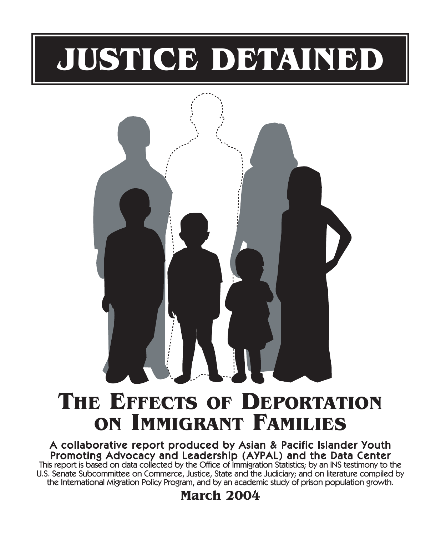# **JUSTICE DETAINED**



# **THE EFFECTS OF DEPORTATION ON IMMIGRANT FAMILIES**

### A collaborative report produced by Asian & Pacific Islander Youth Promoting Advocacy and Leadership (AYPAL) and the Data Center This report is based on data collected by the Office of Immigration Statistics; by an INS testimony to the U.S. Senate Subcommittee on Commerce, Justice, State and the Judiciary; and on literature compiled by

the International Migration Policy Program, and by an academic study of prison population growth.

**March 2004**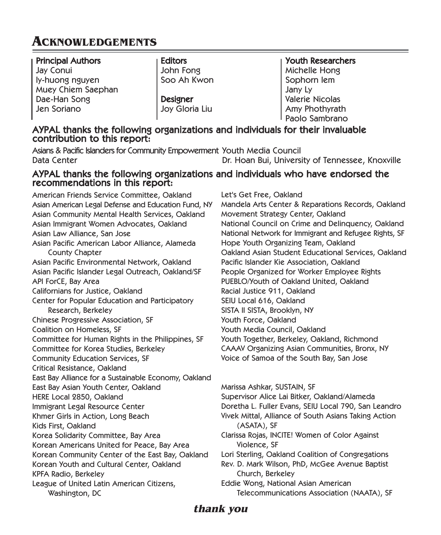## **ACKNOWLEDGEMENTS**

### Principal Authors Jay Conui ly-huong nguyen Muey Chiem Saephan Dae-Han Song Jen Soriano

**Editors** John Fong Soo Ah Kwon

Designer Joy Gloria Liu

Youth Researchers Michelle Hong Sophorn Iem Jany Ly Valerie Nicolas Amy Phothyrath Paolo Sambrano

# AYPAL thanks the following organizations and individuals for their invaluable contribution to this report:

Asians & Pacific Islanders for Community Empowerment Youth Media Council Data Center Dr. Hoan Bui, University of Tennessee, Knoxville

# AYPAL thanks the following organizations and individuals who have endorsed the recommendations in this report:

American Friends Service Committee, Oakland Asian American Legal Defense and Education Fund, NY Asian Community Mental Health Services, Oakland Asian Immigrant Women Advocates, Oakland Asian Law Alliance, San Jose Asian Pacific American Labor Alliance, Alameda County Chapter Asian Pacific Environmental Network, Oakland Asian Pacific Islander Legal Outreach, Oakland/SF API ForCE, Bay Area Californians for Justice, Oakland Center for Popular Education and Participatory Research, Berkeley Chinese Progressive Association, SF Coalition on Homeless, SF Committee for Human Rights in the Philippines, SF Committee for Korea Studies, Berkeley Community Education Services, SF Critical Resistance, Oakland East Bay Alliance for a Sustainable Economy, Oakland East Bay Asian Youth Center, Oakland HERE Local 2850, Oakland Immigrant Legal Resource Center Khmer Girls in Action, Long Beach Kids First, Oakland Korea Solidarity Committee, Bay Area Korean Americans United for Peace, Bay Area Korean Community Center of the East Bay, Oakland Korean Youth and Cultural Center, Oakland KPFA Radio, Berkeley League of United Latin American Citizens, Washington, DC

Let's Get Free, Oakland Mandela Arts Center & Reparations Records, Oakland Movement Strategy Center, Oakland National Council on Crime and Delinquency, Oakland National Network for Immigrant and Refugee Rights, SF Hope Youth Organizing Team, Oakland Oakland Asian Student Educational Services, Oakland Pacific Islander Kie Association, Oakland People Organized for Worker Employee Rights PUEBLO/Youth of Oakland United, Oakland Racial Justice 911, Oakland SEIU Local 616, Oakland SISTA II SISTA, Brooklyn, NY Youth Force, Oakland Youth Media Council, Oakland Youth Together, Berkeley, Oakland, Richmond CAAAV Organizing Asian Communities, Bronx, NY Voice of Samoa of the South Bay, San Jose

Marissa Ashkar, SUSTAIN, SF Supervisor Alice Lai Bitker, Oakland/Alameda Doretha L. Fuller Evans, SEIU Local 790, San Leandro Vivek Mittal, Alliance of South Asians Taking Action (ASATA), SF Clarissa Rojas, INCITE! Women of Color Against Violence, SF Lori Sterling, Oakland Coalition of Congregations Rev. D. Mark Wilson, PhD, McGee Avenue Baptist Church, Berkeley Eddie Wong, National Asian American Telecommunications Association (NAATA), SF

### **thank you**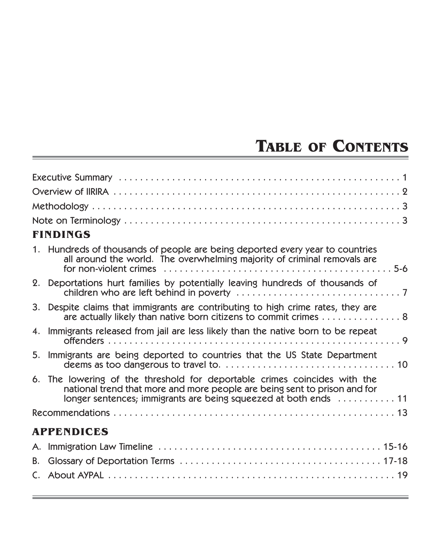## **TABLE OF CONTENTS**

| <b>FINDINGS</b>                                                                                                                                                                                                                                                        |
|------------------------------------------------------------------------------------------------------------------------------------------------------------------------------------------------------------------------------------------------------------------------|
| 1. Hundreds of thousands of people are being deported every year to countries<br>all around the world. The overwhelming majority of criminal removals are<br>for non-violent crimes $\dots\dots\dots\dots\dots\dots\dots\dots\dots\dots\dots\dots\dots\dots\dots\dots$ |
| 2. Deportations hurt families by potentially leaving hundreds of thousands of                                                                                                                                                                                          |
| 3. Despite claims that immigrants are contributing to high crime rates, they are<br>are actually likely than native born citizens to commit crimes 8                                                                                                                   |
| 4. Immigrants released from jail are less likely than the native born to be repeat                                                                                                                                                                                     |
| 5. Immigrants are being deported to countries that the US State Department                                                                                                                                                                                             |
| 6. The lowering of the threshold for deportable crimes coincides with the<br>national trend that more and more people are being sent to prison and for<br>longer sentences; immigrants are being squeezed at both ends  11                                             |
|                                                                                                                                                                                                                                                                        |
| <b>APPENDICES</b>                                                                                                                                                                                                                                                      |
|                                                                                                                                                                                                                                                                        |
|                                                                                                                                                                                                                                                                        |
|                                                                                                                                                                                                                                                                        |
|                                                                                                                                                                                                                                                                        |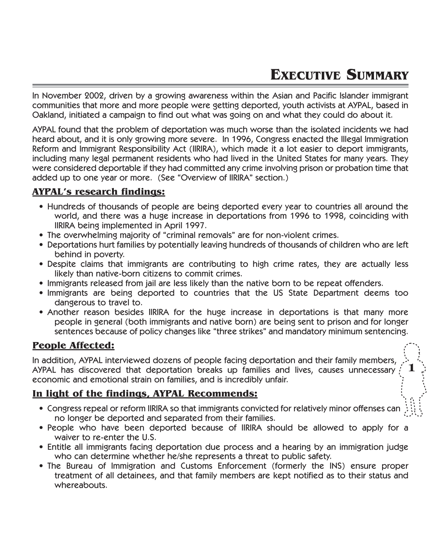**1**

In November 2002, driven by a growing awareness within the Asian and Pacific Islander immigrant communities that more and more people were getting deported, youth activists at AYPAL, based in Oakland, initiated a campaign to find out what was going on and what they could do about it.

AYPAL found that the problem of deportation was much worse than the isolated incidents we had heard about, and it is only growing more severe. In 1996, Congress enacted the Illegal Immigration Reform and Immigrant Responsibility Act (IIRIRA), which made it a lot easier to deport immigrants, including many legal permanent residents who had lived in the United States for many years. They were considered deportable if they had committed any crime involving prison or probation time that added up to one year or more. (See "Overview of IIRIRA" section.)

### **AYPAL's research findings:**

- Hundreds of thousands of people are being deported every year to countries all around the world, and there was a huge increase in deportations from 1996 to 1998, coinciding with IIRIRA being implemented in April 1997.
- The overwhelming majority of "criminal removals" are for non-violent crimes.
- Deportations hurt families by potentially leaving hundreds of thousands of children who are left behind in poverty.
- Despite claims that immigrants are contributing to high crime rates, they are actually less likely than native-born citizens to commit crimes.
- Immigrants released from jail are less likely than the native born to be repeat offenders.
- Immigrants are being deported to countries that the US State Department deems too dangerous to travel to.
- Another reason besides IIRIRA for the huge increase in deportations is that many more people in general (both immigrants and native born) are being sent to prison and for longer sentences because of policy changes like "three strikes" and mandatory minimum sentencing.

### **People Affected:**

In addition, AYPAL interviewed dozens of people facing deportation and their family members, AYPAL has discovered that deportation breaks up families and lives, causes unnecessary economic and emotional strain on families, and is incredibly unfair.

### **In light of the findings, AYPAL Recommends:**

- Congress repeal or reform IIRIRA so that immigrants convicted for relatively minor offenses can no longer be deported and separated from their families.
- People who have been deported because of IIRIRA should be allowed to apply for a waiver to re-enter the U.S.
- Entitle all immigrants facing deportation due process and a hearing by an immigration judge who can determine whether he/she represents a threat to public safety.
- The Bureau of Immigration and Customs Enforcement (formerly the INS) ensure proper treatment of all detainees, and that family members are kept notified as to their status and whereabouts.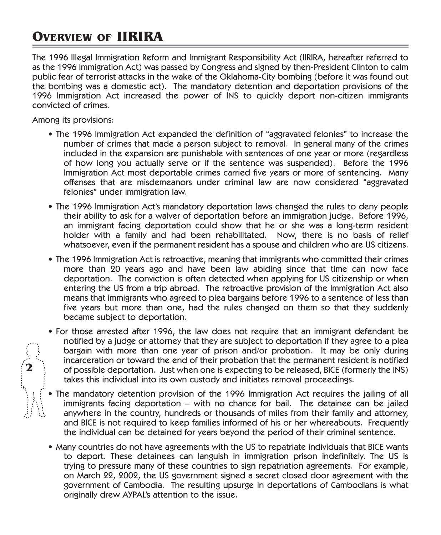## **OVERVIEW OF IIRIRA**

The 1996 Illegal Immigration Reform and Immigrant Responsibility Act (IIRIRA, hereafter referred to as the 1996 Immigration Act) was passed by Congress and signed by then-President Clinton to calm public fear of terrorist attacks in the wake of the Oklahoma-City bombing (before it was found out the bombing was a domestic act). The mandatory detention and deportation provisions of the 1996 Immigration Act increased the power of INS to quickly deport non-citizen immigrants convicted of crimes.

Among its provisions:

**2**

- The 1996 Immigration Act expanded the definition of "aggravated felonies" to increase the number of crimes that made a person subject to removal. In general many of the crimes included in the expansion are punishable with sentences of one year or more (regardless of how long you actually serve or if the sentence was suspended). Before the 1996 Immigration Act most deportable crimes carried five years or more of sentencing. Many offenses that are misdemeanors under criminal law are now considered "aggravated felonies" under immigration law.
- The 1996 Immigration Act's mandatory deportation laws changed the rules to deny people their ability to ask for a waiver of deportation before an immigration judge. Before 1996, an immigrant facing deportation could show that he or she was a long-term resident holder with a family and had been rehabilitated. Now, there is no basis of relief whatsoever, even if the permanent resident has a spouse and children who are US citizens.
- The 1996 Immigration Act is retroactive, meaning that immigrants who committed their crimes more than 20 years ago and have been law abiding since that time can now face deportation. The conviction is often detected when applying for US citizenship or when entering the US from a trip abroad. The retroactive provision of the Immigration Act also means that immigrants who agreed to plea bargains before 1996 to a sentence of less than five years but more than one, had the rules changed on them so that they suddenly became subject to deportation.
- For those arrested after 1996, the law does not require that an immigrant defendant be notified by a judge or attorney that they are subject to deportation if they agree to a plea bargain with more than one year of prison and/or probation. It may be only during incarceration or toward the end of their probation that the permanent resident is notified of possible deportation. Just when one is expecting to be released, BICE (formerly the INS) takes this individual into its own custody and initiates removal proceedings.
- The mandatory detention provision of the 1996 Immigration Act requires the jailing of all immigrants facing deportation – with no chance for bail. The detainee can be jailed anywhere in the country, hundreds or thousands of miles from their family and attorney, and BICE is not required to keep families informed of his or her whereabouts. Frequently the individual can be detained for years beyond the period of their criminal sentence.
- Many countries do not have agreements with the US to repatriate individuals that BICE wants to deport. These detainees can languish in immigration prison indefinitely. The US is trying to pressure many of these countries to sign repatriation agreements. For example, on March 22, 2002, the US government signed a secret closed door agreement with the government of Cambodia. The resulting upsurge in deportations of Cambodians is what originally drew AYPAL's attention to the issue.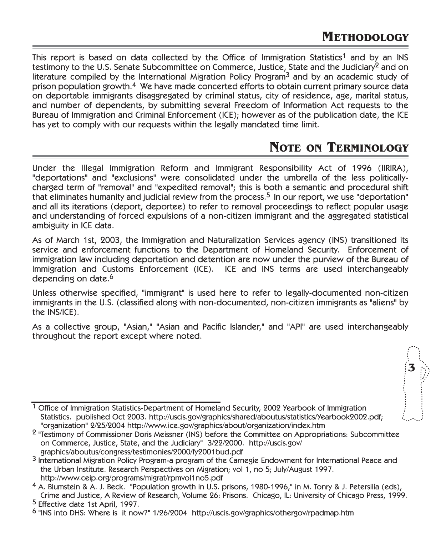**3**

This report is based on data collected by the Office of Immigration Statistics<sup>1</sup> and by an INS testimony to the U.S. Senate Subcommittee on Commerce, Justice, State and the Judiciary<sup>2</sup> and on literature compiled by the International Migration Policy Program<sup>3</sup> and by an academic study of prison population growth.4 We have made concerted efforts to obtain current primary source data on deportable immigrants disaggregated by criminal status, city of residence, age, marital status, and number of dependents, by submitting several Freedom of Information Act requests to the Bureau of Immigration and Criminal Enforcement (ICE); however as of the publication date, the ICE has yet to comply with our requests within the legally mandated time limit.

### **NOTE ON TERMINOLOGY**

Under the Illegal Immigration Reform and Immigrant Responsibility Act of 1996 (IIRIRA), "deportations" and "exclusions" were consolidated under the umbrella of the less politicallycharged term of "removal" and "expedited removal"; this is both a semantic and procedural shift that eliminates humanity and judicial review from the process.<sup>5</sup> In our report, we use "deportation" and all its iterations (deport, deportee) to refer to removal proceedings to reflect popular usage and understanding of forced expulsions of a non-citizen immigrant and the aggregated statistical ambiguity in ICE data.

As of March 1st, 2003, the Immigration and Naturalization Services agency (INS) transitioned its service and enforcement functions to the Department of Homeland Security. Enforcement of immigration law including deportation and detention are now under the purview of the Bureau of Immigration and Customs Enforcement (ICE). ICE and INS terms are used interchangeably depending on date.<sup>6</sup>

Unless otherwise specified, "immigrant" is used here to refer to legally-documented non-citizen immigrants in the U.S. (classified along with non-documented, non-citizen immigrants as "aliens" by the INS/ICE).

As a collective group, "Asian," "Asian and Pacific Islander," and "API" are used interchangeably throughout the report except where noted.



 $2$  "Testimony of Commissioner Doris Meissner (INS) before the Committee on Appropriations: Subcommittee on Commerce, Justice, State, and the Judiciary" 3/22/2000. http://uscis.gov/ graphics/aboutus/congress/testimonies/2000/fy2001bud.pdf

<sup>3</sup> International Migration Policy Program-a program of the Carnegie Endowment for International Peace and the Urban Institute. Research Perspectives on Migration; vol 1, no 5; July/August 1997. http://www.ceip.org/programs/migrat/rpmvol1no5.pdf

<sup>4</sup> A. Blumstein & A. J. Beck. "Population growth in U.S. prisons, 1980-1996," in M. Tonry & J. Petersilia (eds), Crime and Justice, A Review of Research, Volume 26: Prisons. Chicago, IL: University of Chicago Press, 1999.

<sup>5</sup> Effective date 1st April, 1997.

<sup>6</sup> "INS into DHS: Where is it now?" 1/26/2004 http://uscis.gov/graphics/othergov/rpadmap.htm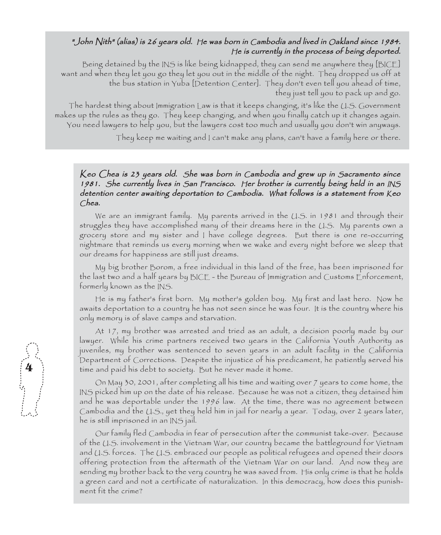### "John Nith" (alias) is 26 years old. He was born in Cambodia and lived in Oakland since 1984. <sup>H</sup>e is currently in the process of being deported.

Being detained by the INS is like being kidnapped, they can send me anywhere they [BICE] want and when they let you go they let you out in the middle of the night. They dropped us off at the bus station in Yuba [Detention Center]. They don't even tell you ahead of time, they just tell you to pack up and go.

The hardest thing about Immigration Law is that it keeps changing, it's like the U.S. Government makes up the rules as they go. They keep changing, and when you finally catch up it changes again. You need lawyers to help you, but the lawyers cost too much and usually you don't win anyways.

They keep me waiting and I can't make any plans, can't have a family here or there.

### Keo Chea is 23 years old. She was born in Cambodia and grew up in Sacramento since 1981. <sup>S</sup>he currently lives in <sup>S</sup>an Francisco. Her brother is currently being held in an INS detention center awaiting deportation to Cambodia. What follows is a statement from Keo Chea.

We are an immigrant family. My parents arrived in the U.S. in 1981 and through their struggles they have accomplished many of their dreams here in the U.S. My parents own a grocery store and my sister and I have college degrees. But there is one re-occurring nightmare that reminds us every morning when we wake and every night before we sleep that our dreams for happiness are still just dreams.

My big brother Borom, a free individual in this land of the free, has been imprisoned for the last two and a half years by BICE - the Bureau of Immigration and Customs Enforcement, formerly known as the INS.

He is my father's first born. My mother's golden boy. My first and last hero. Now he awaits deportation to a country he has not seen since he was four. It is the country where his only memory is of slave camps and starvation.

At 17, my brother was arrested and tried as an adult, a decision poorly made by our lawyer. While his crime partners received two years in the California Youth Authority as juveniles, my brother was sentenced to seven years in an adult facility in the California Department of Corrections. Despite the injustice of his predicament, he patiently served his time and paid his debt to society. But he never made it home.

On May 30, 2001, after completing all his time and waiting over 7 years to come home, the INS picked him up on the date of his release. Because he was not a citizen, they detained him and he was deportable under the 1996 law. At the time, there was no agreement between Cambodia and the U.S., yet they held him in jail for nearly a year. Today, over 2 years later, he is still imprisoned in an INS jail.

Our family fled Cambodia in fear of persecution after the communist take-over. Because of the U.S. involvement in the Vietnam War, our country became the battleground for Vietnam and U.S. forces. The U.S. embraced our people as political refugees and opened their doors offering protection from the aftermath of the Vietnam War on our land. And now they are sending my brother back to the very country he was saved from. His only crime is that he holds a green card and not a certificate of naturalization. In this democracy, how does this punishment fit the crime?

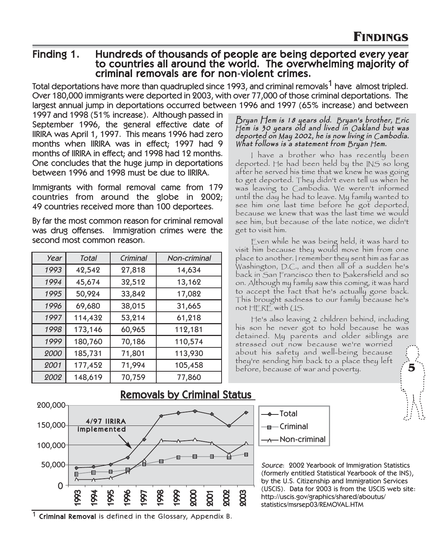### Finding 1. Hundreds of thousands of people are being deported every year to countries all around the world. The overwhelming majority of criminal removals are for non-violent crimes.

Total deportations have more than quadrupled since 1993, and criminal removals<sup>1</sup> have almost tripled. Over 180,000 immigrants were deported in 2003, with over 77,000 of those criminal deportations. The largest annual jump in deportations occurred between 1996 and 1997 (65% increase) and between

1997 and 1998 (51% increase). Although passed in September 1996, the general effective date of IIRIRA was April 1, 1997. This means 1996 had zero months when IIRIRA was in effect; 1997 had 9 months of IIRIRA in effect; and 1998 had 12 months. One concludes that the huge jump in deportations between 1996 and 1998 must be due to IIRIRA.

Immigrants with formal removal came from 179 countries from around the globe in 2002; 49 countries received more than 100 deportees.

By far the most common reason for criminal removal was drug offenses. Immigration crimes were the second most common reason.

| Year | Total   | Criminal | Non-criminal |
|------|---------|----------|--------------|
| 1993 | 42,542  | 27,818   | 14,634       |
| 1994 | 45,674  | 32,512   | 13,162       |
| 1995 | 50,924  | 33,842   | 17,082       |
| 1996 | 69,680  | 38,015   | 31,665       |
| 1997 | 114,432 | 53,214   | 61,218       |
| 1998 | 173,146 | 60,965   | 112,181      |
| 1999 | 180,760 | 70,186   | 110,574      |
| 2000 | 185,731 | 71,801   | 113,930      |
| 2001 | 177,452 | 71,994   | 105,458      |
| 2002 | 148,619 | 70,759   | 77,860       |

#### Bryan Hem is 18 years old. <sup>B</sup>ryan's brother, Eric <sup>H</sup>em is 30 years old and lived in Oakland but was deported on <sup>M</sup>ay 2002, he is now living in Cambodia. <sup>W</sup>hat follows is a statement from Bryan Hem.

I have a brother who has recently been deported. He had been held by the INS so long after he served his time that we knew he was going to get deported. They didn't even tell us when he was leaving to Cambodia. We weren't informed until the day he had to leave. My family wanted to see him one last time before he got deported, because we knew that was the last time we would see him, but because of the late notice, we didn't get to visit him.

Even while he was being held, it was hard to visit him because they would move him from one place to another. I remember they sent him as far as Washington, D.C., and then all of a sudden he's back in San Francisco then to Bakersfield and so on. Although my family saw this coming, it was hard to accept the fact that he's actually gone back. This brought sadness to our family because he's not HERE with US.

He's also leaving 2 children behind, including his son he never got to hold because he was detained. My parents and older siblings are stressed out now because we're worried about his safety and well-being because they're sending him back to a place they left before, because of war and poverty. **5**



Removals by Criminal Status



Source: 2002 Yearbook of Immigration Statistics (formerly entitled Statistical Yearbook of the INS), by the U.S. Citizenship and Immigration Services (USCIS). Data for 2003 is from the USCIS web site: http://uscis.gov/graphics/shared/aboutus/ statistics/msrsep03/REMOVAL.HTM

1 Criminal Removal is defined in the Glossary, Appendix B.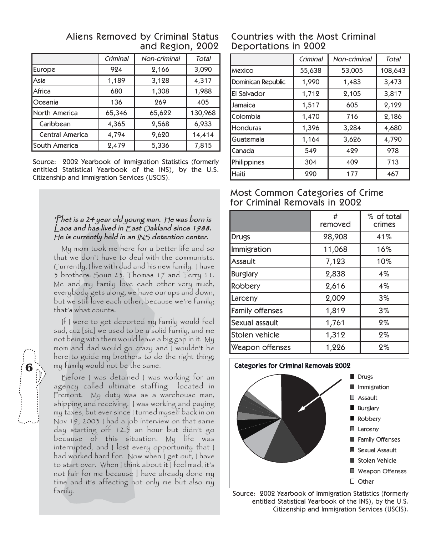|                 | Criminal | Non-criminal | Total   |
|-----------------|----------|--------------|---------|
| Europe          | 924      | 2,166        | 3,090   |
| lAsia           | 1,189    | 3,128        | 4,317   |
| Africa          | 680      | 1,308        | 1,988   |
| <b>Oceania</b>  | 136      | 269          | 405     |
| North America   | 65,346   | 65,622       | 130,968 |
| Caribbean       | 4,365    | 2,568        | 6,933   |
| Central America | 4,794    | 9,620        | 14,414  |
| South America   | 2,479    | 5,336        | 7,815   |

### Aliens Removed by Criminal Status and Region, 2002

Source: 2002 Yearbook of Immigration Statistics (formerly entitled Statistical Yearbook of the INS), by the U.S. Citizenship and Immigration Services (USCIS).

### 'Phet is a 24 year old young man. He was born is Laos and has lived in East Oakland since 1988. <sup>H</sup>e is currently held in an INS detention center.

My mom took me here for a better life and so that we don't have to deal with the communists. Currently, I live with dad and his new family. I have 3 brothers: Soun 23, Thomas 17 and Terry 11. Me and my family love each other very much, everybody gets along, we have our ups and down, but we still love each other, because we're family; that's what counts.

If I were to get deported my family would feel sad, cuz [sic] we used to be a solid family, and me not being with them would leave a big gap in it. My mom and dad would go crazy and I wouldn't be here to guide my brothers to do the right thing; my family would not be the same.

Before I was detained I was working for an agency called ultimate staffing located in Fremont. My duty was as a warehouse man, shipping and receiving. I was working and paying my taxes, but ever since I turned myself back in on Nov 19, 2003 I had a job interview on that same day starting off 12.5 an hour but didn't go because of this situation. My life was interrupted, and I lost every opportunity that I had worked hard for. Now when I get out, I have to start over. When I think about it I feel mad, it's not fair for me because I have already done my time and it's affecting not only me but also my family.

### Countries with the Most Criminal Deportations in 2002

|                    | Criminal | Non-criminal | Total   |
|--------------------|----------|--------------|---------|
| Mexico             | 55,638   | 53,005       | 108,643 |
| Dominican Republic | 1,990    | 1,483        | 3,473   |
| El Salvador        | 1,712    | 2,105        | 3,817   |
| Jamaica            | 1,517    | 605          | 2,122   |
| Colombia           | 1,470    | 716          | 2,186   |
| <b>Honduras</b>    | 1,396    | 3,284        | 4,680   |
| Guatemala          | 1,164    | 3,626        | 4,790   |
| Canada             | 549      | 429          | 978     |
| Philippines        | 304      | 409          | 713     |
| Haiti              | 290      | 177          | 467     |

### Most Common Categories of Crime for Criminal Removals in 2002

|                 | #<br>removed | % of total<br>crimes |
|-----------------|--------------|----------------------|
| Drugs           | 28,908       | 41%                  |
| Immigration     | 11,068       | 16%                  |
| <b>Assault</b>  | 7,123        | 10%                  |
| Burglary        | 2,838        | 4%                   |
| Robbery         | 2,616        | 4%                   |
| Larceny         | 2,009        | $3\%$                |
| Family offenses | 1,819        | $3\%$                |
| Sexual assault  | 1,761        | 2%                   |
| Stolen vehicle  | 1,312        | 2%                   |
| Weapon offenses | 1,226        | $2\%$                |

### Categories for Criminal Removals 2002 Drugs **I**I Immigration Assault **Burglary** Robbery **Larceny Family Offenses** Sexual Assault Stolen Vehicle ■ Weapon Offenses Other

Source: 2002 Yearbook of Immigration Statistics (formerly entitled Statistical Yearbook of the INS), by the U.S. Citizenship and Immigration Services (USCIS).

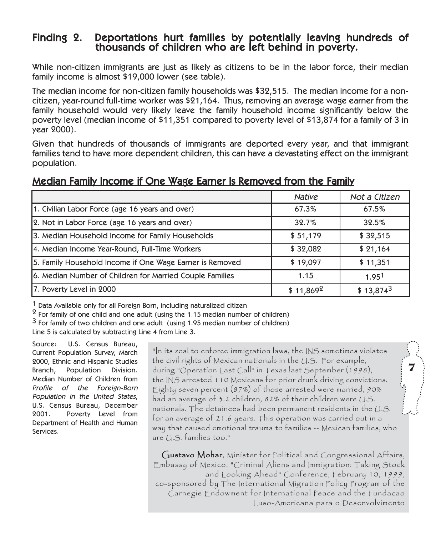# Finding 2. Deportations hurt families by potentially leaving hundreds of thousands of children who are left behind in poverty.

While non-citizen immigrants are just as likely as citizens to be in the labor force, their median family income is almost \$19,000 lower (see table).

The median income for non-citizen family households was \$32,515. The median income for a noncitizen, year-round full-time worker was \$21,164. Thus, removing an average wage earner from the family household would very likely leave the family household income significantly below the poverty level (median income of \$11,351 compared to poverty level of \$13,874 for a family of 3 in year 2000).

Given that hundreds of thousands of immigrants are deported every year, and that immigrant families tend to have more dependent children, this can have a devastating effect on the immigrant population.

### Median Family Income if One Wage Earner Is Removed from the Family

|                                                          | <b>Native</b> | Not a Citizen |
|----------------------------------------------------------|---------------|---------------|
| 1. Civilian Labor Force (age 16 years and over)          | 67.3%         | 67.5%         |
| 2. Not in Labor Force (age 16 years and over)            | 32.7%         | 32.5%         |
| 3. Median Household Income for Family Households         | \$51,179      | \$32,515      |
| 4. Median Income Year-Round, Full-Time Workers           | \$32,082      | \$21,164      |
| 5. Family Household Income if One Wage Earner is Removed | \$19,097      | \$11,351      |
| 6. Median Number of Children for Married Couple Families | 1.15          | 1.951         |
| 7. Poverty Level in 2000                                 | $$11,869^2$   | $$13,874^3$   |

1 Data Available only for all Foreign Born, including naturalized citizen

 $2$  For family of one child and one adult (using the 1.15 median number of children)

3 For family of two children and one adult (using 1.95 median number of children)

Line 5 is calculated by subtracting Line 4 from Line 3.

Source: U.S. Census Bureau, Current Population Survey, March 2000, Ethnic and Hispanic Studies Branch, Population Division. Median Number of Children from Profile of the Foreign-Born Population in the United States, U.S. Census Bureau, December 2001. Poverty Level from Department of Health and Human Services.

"In its zeal to enforce immigration laws, the INS sometimes violates the civil rights of Mexican nationals in the U.S. For example, during "Operation Last Call" in Texas last September (1998), the INS arrested 110 Mexicans for prior drunk driving convictions. Eighty seven percent  $(87%)$  of those arrested were married,  $90%$ had an average of 3.2 children, 82% of their children were U.S. nationals. The detainees had been permanent residents in the U.S. for an average of 21.6 years. This operation was carried out in a way that caused emotional trauma to families -- Mexican families, who are U.S. families too."  $\begin{pmatrix} 7 \\ 1 \end{pmatrix}$ 

Gustavo Mohar, Minister for Political and Congressional Affairs, Embassy of Mexico, "Criminal Aliens and Immigration: Taking Stock and Looking Ahead" Conference, February 10, 1999, co-sponsored by The International Migration Policy Program of the Carnegie Endowment for International Peace and the Fundacao Luso-Americana para o Desenvolvimento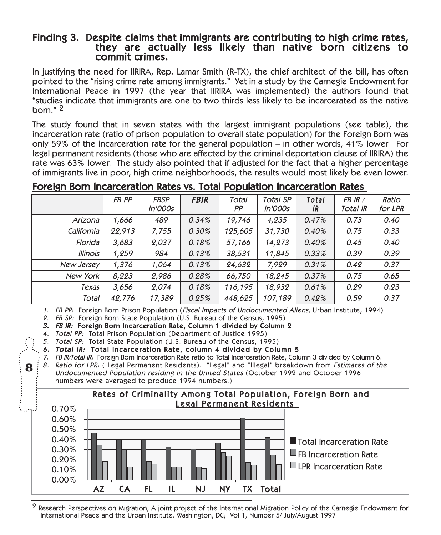# Finding 3. Despite claims that immigrants are contributing to high crime rates,<br>they are actually less likely than native born citizens to<br>commit crimes.

In justifying the need for IIRIRA, Rep. Lamar Smith (R-TX), the chief architect of the bill, has often pointed to the "rising crime rate among immigrants." Yet in a study by the Carnegie Endowment for International Peace in 1997 (the year that IIRIRA was implemented) the authors found that "studies indicate that immigrants are one to two thirds less likely to be incarcerated as the native born." 2

The study found that in seven states with the largest immigrant populations (see table), the incarceration rate (ratio of prison population to overall state population) for the Foreign Born was only 59% of the incarceration rate for the general population – in other words, 41% lower. For legal permanent residents (those who are affected by the criminal deportation clause of IIRIRA) the rate was 63% lower. The study also pointed that if adjusted for the fact that a higher percentage of immigrants live in poor, high crime neighborhoods, the results would most likely be even lower.

### Foreign Born Incarceration Rates vs. Total Population Incarceration Rates

|                 | FB PP  | <b>FBSP</b><br>in'000s | <b>FBIR</b> | Total<br>РP | <b>Total SP</b><br><i>in'000s</i> | Total<br>IR | FB IR /<br>Total IR | Ratio<br>for LPR |
|-----------------|--------|------------------------|-------------|-------------|-----------------------------------|-------------|---------------------|------------------|
| Arizona         | 1,666  | 489                    | $0.34\%$    | 19,746      | 4,235                             | 0.47%       | 0.73                | 0.40             |
| California      | 22,913 | 7,755                  | $0.30\%$    | 125,605     | 31,730                            | 0.40%       | 0.75                | 0.33             |
| Florida         | 3,683  | 2,037                  | 0.18%       | 57,166      | 14,273                            | 0.40%       | 0.45                | 0.40             |
| <b>Illinois</b> | 1.259  | 984                    | 0.13%       | 38,531      | 11,845                            | 0.33%       | 0.39                | 0.39             |
| New Jersey      | 1,376  | 1,064                  | 0.13%       | 24,632      | 7,929                             | 0.31%       | 0.42                | 0.37             |
| New York        | 8,223  | 2,986                  | 0.28%       | 66,750      | 18,245                            | 0.37%       | 0.75                | 0.65             |
| Texas           | 3,656  | 2,074                  | 0.18%       | 116,195     | 18,932                            | 0.61%       | 0.29                | 0.23             |
| Total           | 42,776 | 17,389                 | 0.25%       | 448,625     | 107,189                           | 0.42%       | 0.59                | 0.37             |

1. FB PP: Foreign Born Prison Population (Fiscal Impacts of Undocumented Aliens, Urban Institute, 1994)

2. FB SP: Foreign Born State Population (U.S. Bureau of the Census, 1995)

- 3. FB IR: Foreign Born Incarceration Rate, Column 1 divided by Column 2
- 4. Total PP: Total Prison Population (Department of Justice 1995)

5. Total SP: Total State Population (U.S. Bureau of the Census, 1995)

6. Total IR: Total Incarceration Rate, column 4 divided by Column 5

7. FB IR/Total IR: Foreign Born Incarceration Rate ratio to Total Incarceration Rate, Column 3 divided by Column 6. 8. Ratio for LPR: ( Legal Permanent Residents). "Legal" and "Illegal" breakdown from Estimates of the Undocumented Population residing in the United States (October 1992 and October 1996

numbers were averaged to produce 1994 numbers.)

**8**



 $^2$  Research Perspectives on Migration, A ioint project of the International Migration Policy of the Carnegie Endowment for International Peace and the Urban Institute, Washington, DC; Vol 1, Number 5/ July/August 1997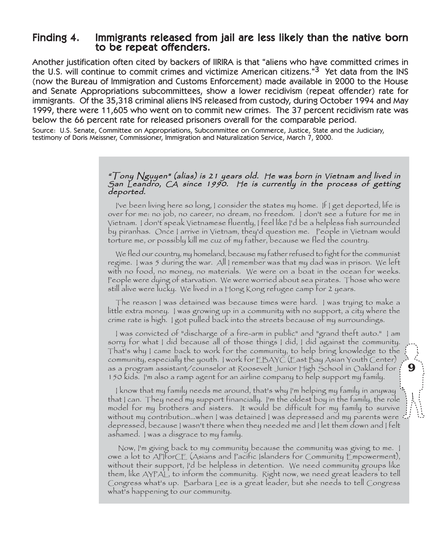### Finding 4. Immigrants released from jail are less likely than the native born to be repeat offenders.

Another justification often cited by backers of IIRIRA is that "aliens who have committed crimes in the U.S. will continue to commit crimes and victimize American citizens."<sup>3</sup> Yet data from the INS (now the Bureau of Immigration and Customs Enforcement) made available in 2000 to the House and Senate Appropriations subcommittees, show a lower recidivism (repeat offender) rate for immigrants. Of the 35,318 criminal aliens INS released from custody, during October 1994 and May 1999, there were 11,605 who went on to commit new crimes. The 37 percent recidivism rate was below the 66 percent rate for released prisoners overall for the comparable period.

Source: U.S. Senate, Committee on Appropriations, Subcommittee on Commerce, Justice, State and the Judiciary, testimony of Doris Meissner, Commissioner, Immigration and Naturalization Service, March 7, 2000.

### "Tony Nguyen" (alias) is 21 years old. He was born in Vietnam and lived in <sup>S</sup>an Leandro, CA since 1990. He is currently in the process of getting deported.

I've been living here so long, I consider the states my home. If I get deported, life is over for me: no job, no career, no dream, no freedom. I don't see a future for me in Vietnam. I don't speak Vietnamese fluently, I feel like I'd be a helpless fish surrounded by piranhas. Once I arrive in Vietnam, they'd question me. People in Vietnam would torture me, or possibly kill me cuz of my father, because we fled the country.

We fled our country, my homeland, because my father refused to fight for the communist regime. I was 5 during the war. All I remember was that my dad was in prison. We left with no food, no money, no materials. We were on a boat in the ocean for weeks. People were dying of starvation. We were worried about sea pirates. Those who were still alive were lucky. We lived in a Hong Kong refugee camp for 2 years.

The reason I was detained was because times were hard. I was trying to make a little extra money. I was growing up in a community with no support, a city where the crime rate is high. I got pulled back into the streets because of my surroundings.

I was convicted of "discharge of a fire-arm in public" and "grand theft auto." I am sorry for what I did because all of those things I did, I did against the community. That's why I came back to work for the community, to help bring knowledge to the community, especially the youth. I work for EBAYC (East Bay Asian Youth Center) as a program assistant/counselor at Roosevelt Junior High School in Oakland for **9**150 kids. I'm also a ramp agent for an airline company to help support my family.

I know that my family needs me around, that's why I'm helping my family in anyway that I can. They need my support financially. I'm the oldest boy in the family, the role model for my brothers and sisters. It would be difficult for my family to survive without my contribution…when I was detained I was depressed and my parents were depressed, because I wasn't there when they needed me and I let them down and I felt ashamed. I was a disgrace to my family.

Now, I'm giving back to my community because the community was giving to me. I owe a lot to APIforCE (Asians and Pacific Islanders for Community Empowerment), without their support, I'd be helpless in detention. We need community groups like them, like AYPAL, to inform the community. Right now, we need great leaders to tell Congress what's up. Barbara Lee is a great leader, but she needs to tell Congress what's happening to our community.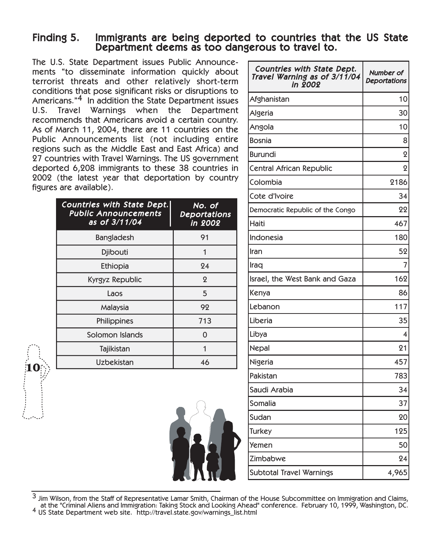### Finding 5. Immigrants are being deported to countries that the US State Department deems as too dangerous to travel to.

The U.S. State Department issues Public Announcements "to disseminate information quickly about terrorist threats and other relatively short-term conditions that pose significant risks or disruptions to Americans."4 In addition the State Department issues U.S. Travel Warnings when the Department recommends that Americans avoid a certain country. As of March 11, 2004, there are 11 countries on the Public Announcements list (not including entire regions such as the Middle East and East Africa) and 27 countries with Travel Warnings. The US government deported 6,208 immigrants to these 38 countries in 2002 (the latest year that deportation by country figures are available).

| Countries with State Dept.<br><b>Public Announcements</b><br>as of 3/11/04 | No. of<br><b>Deportations</b><br>in 2002 |
|----------------------------------------------------------------------------|------------------------------------------|
| Bangladesh                                                                 | 91                                       |
| <b>Djibouti</b>                                                            |                                          |
| Ethiopia                                                                   | 24                                       |
| Kyrgyz Republic                                                            | $\mathbf 2$                              |
| Laos                                                                       | 5                                        |
| Malaysia                                                                   | 92                                       |
| Philippines                                                                | 713                                      |
| Solomon Islands                                                            | O                                        |
| Tajikistan                                                                 |                                          |
| Uzbekistan                                                                 | 46                                       |
|                                                                            |                                          |



| Countries with State Dept.<br>Travel Warning as of 3/11/04<br>in 2002 | Number of<br><b>Deportations</b> |
|-----------------------------------------------------------------------|----------------------------------|
| Afghanistan                                                           | 10                               |
| Algeria                                                               | 30                               |
| Angola                                                                | 10                               |
| Bosnia                                                                | 8                                |
| Burundi                                                               | ջ                                |
| Central African Republic                                              | $\mathbf 2$                      |
| Colombia                                                              | 2186                             |
| Cote d'Ivoire                                                         | 34                               |
| Democratic Republic of the Congo                                      | 22                               |
| Haiti                                                                 | 467                              |
| Indonesia                                                             | 180                              |
| Iran                                                                  | 52                               |
| Iraq                                                                  | 7                                |
| Israel, the West Bank and Gaza                                        | 162                              |
| Kenya                                                                 | 86                               |
| Lebanon                                                               | 117                              |
| Liberia                                                               | 35                               |
| Libya                                                                 | 4                                |
| Nepal                                                                 | 21                               |
| Nigeria                                                               | 457                              |
| Pakistan                                                              | 783                              |
| Saudi Arabia                                                          | 34                               |
| Somalia                                                               | 37                               |
| Sudan                                                                 | 20                               |
| Turkey                                                                | 125                              |
| Yemen                                                                 | 50                               |
| Zimbabwe                                                              | 24                               |
| Subtotal Travel Warnings                                              | 4,965                            |

 $3$  Jim Wilson, from the Staff of Representative Lamar Smith, Chairman of the House Subcommittee on Immigration and Claims, at the "Criminal Aliens and Immigration: Taking Stock and Looking Ahead" conference. February 10, 1999, Washington, DC. <sup>4</sup> US State Department web site. http://travel.state.gov/warnings\_list.html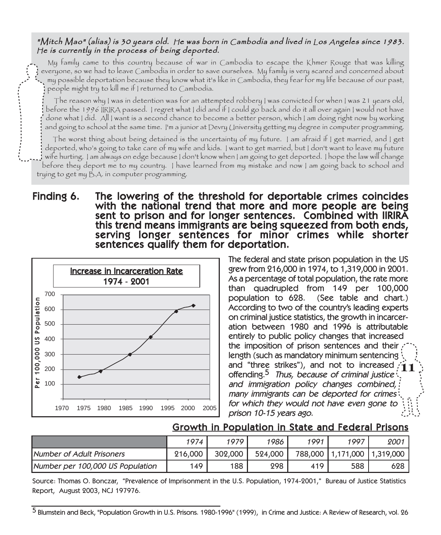### "Mitch Mao" (alias) is 30 years old. He was born in Cambodia and lived in Los Angeles since 1983. <sup>H</sup>e is currently in the process of being deported.

My family came to this country because of war in Cambodia to escape the Khmer Rouge that was killing everyone, so we had to leave Cambodia in order to save ourselves. My family is very scared and concerned about my possible deportation because they know what it's like in Cambodia, they fear for my life because of our past, people might try to kill me if I returned to Cambodia.

The reason why I was in detention was for an attempted robbery I was convicted for when I was 21 years old, before the 1996 IIRIRA passed. I regret what I did and if I could go back and do it all over again I would not have done what I did. All I want is a second chance to become a better person, which I am doing right now by working and going to school at the same time. I'm a junior at Devry University getting my degree in computer programming.

The worst thing about being detained is the uncertainty of my future. I am afraid if I get married, and I get deported, who's going to take care of my wife and kids. I want to get married, but I don't want to leave my future wife hurting. I am always on edge because I don't know when I am going to get deported. I hope the law will change before they deport me to my country. I have learned from my mistake and now I am going back to school and trying to get my B.A. in computer programming.

## Finding 6. The lowering of the threshold for deportable crimes coincides with the national trend that more and more people are being sent to prison and for longer sentences. Combined with IIRIRA<br>this trend means immigrants are being squeezed from both ends, serving longer sentences for minor crimes while shorter<br>sentences qualify them for deportation.



The federal and state prison population in the US grew from 216,000 in 1974, to 1,319,000 in 2001. As a percentage of total population, the rate more than quadrupled from 149 per 100,000 population to 628. (See table and chart.) According to two of the country's leading experts on criminal justice statistics, the growth in incarceration between 1980 and 1996 is attributable entirely to public policy changes that increased the imposition of prison sentences and their length (such as mandatory minimum sentencing and "three strikes"), and not to increased **11** offending.<sup>5</sup> Thus, because of criminal justice<sup>1</sup>. and immigration policy changes combined, many immigrants can be deported for crimes for which they would not have even gone to prison 10-15 years ago.

### Growth in Population in State and Federal Prisons

|                                  | 1974    | 1979    | 1986    | 1991 | 1997                            | 2001 |
|----------------------------------|---------|---------|---------|------|---------------------------------|------|
| Number of Adult Prisoners        | 216,000 | 302,000 | 524,000 |      | 788,000   1,171,000   1,319,000 |      |
| Number per 100,000 US Population | 149     | 188     | 298     | 419  | 588                             | 628  |

Source: Thomas O. Bonczar, "Prevalence of Imprisonment in the U.S. Population, 1974-2001," Bureau of Justice Statistics Report, August 2003, NCJ 197976.

<sup>5</sup> Blumstein and Beck, "Population Growth in U.S. Prisons. 1980-1996" (1999), in Crime and Justice: A Review of Research, vol. 26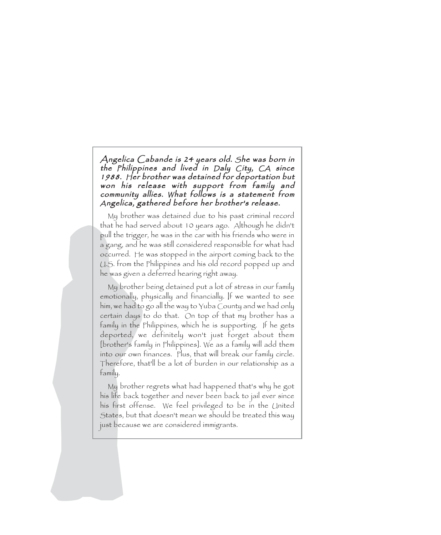Angelica Cabande is 24 years old. She was born in the Philippines and lived in Daly City, CA since 1988. <sup>H</sup>er brother was detained for deportation but won his release with support from family and community allies. What follows is a statement from <sup>A</sup>ngelica, gathered before her brother's release.

My brother was detained due to his past criminal record that he had served about 10 years ago. Although he didn't pull the trigger, he was in the car with his friends who were in a gang, and he was still considered responsible for what had occurred. He was stopped in the airport coming back to the U.S. from the Philippines and his old record popped up and he was given a deferred hearing right away.

My brother being detained put a lot of stress in our family emotionally, physically and financially. If we wanted to see him, we had to go all the way to Yuba County and we had only certain days to do that. On top of that my brother has a family in the Philippines, which he is supporting. If he gets deported, we definitely won't just forget about them [brother's family in Philippines]. We as a family will add them into our own finances. Plus, that will break our family circle. Therefore, that'll be a lot of burden in our relationship as a family.

My brother regrets what had happened that's why he got his life back together and never been back to jail ever since his first offense. We feel privileged to be in the United States, but that doesn't mean we should be treated this way just because we are considered immigrants.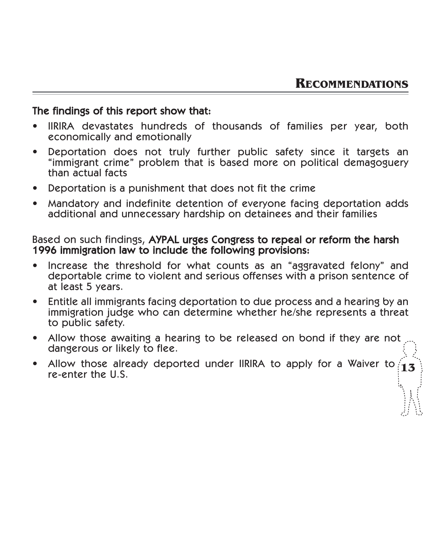### The findings of this report show that:

- IIRIRA devastates hundreds of thousands of families per year, both economically and emotionally
- Deportation does not truly further public safety since it targets an "immigrant crime" problem that is based more on political demagoguery than actual facts
- Deportation is a punishment that does not fit the crime
- Mandatory and indefinite detention of everyone facing deportation adds additional and unnecessary hardship on detainees and their families

### Based on such findings, AYPAL urges Congress to repeal or reform the harsh 1996 immigration law to include the following provisions:

- Increase the threshold for what counts as an "aggravated felony" and deportable crime to violent and serious offenses with a prison sentence of at least 5 years.
- Entitle all immigrants facing deportation to due process and a hearing by an immigration judge who can determine whether he/she represents a threat to public safety.
- Allow those awaiting a hearing to be released on bond if they are not dangerous or likely to flee.
- Allow those already deported under IIRIRA to apply for a Waiver to  $\mathbf{13}$  re-enter the U.S.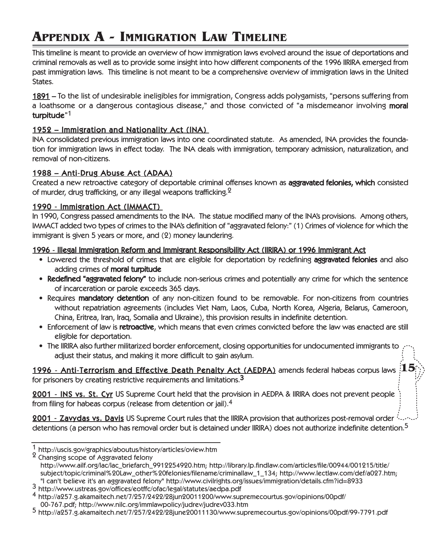## **APPENDIX A - IMMIGRATION LAW TIMELINE**

This timeline is meant to provide an overview of how immigration laws evolved around the issue of deportations and criminal removals as well as to provide some insight into how different components of the 1996 IIRIRA emerged from past immigration laws. This timeline is not meant to be a comprehensive overview of immigration laws in the United States.

1891 – To the list of undesirable ineligibles for immigration, Congress adds polygamists, "persons suffering from a loathsome or a dangerous contagious disease," and those convicted of "a misdemeanor involving moral turpitude"<sup>1</sup>

### 1952 – Immigration and Nationality Act (INA)

INA consolidated previous immigration laws into one coordinated statute. As amended, INA provides the foundation for immigration laws in effect today. The INA deals with immigration, temporary admission, naturalization, and removal of non-citizens.

### 1988 – Anti-Drug Abuse Act (ADAA)

Created a new retroactive category of deportable criminal offenses known as **aggravated felonies, which** consisted of murder, drug trafficking, or any illegal weapons trafficking.<sup>2</sup>

### 1990 - Immigration Act (IMMACT)

In 1990, Congress passed amendments to the INA. The statue modified many of the INA's provisions. Among others, IMMACT added two types of crimes to the INA's definition of "aggravated felony:" (1) Crimes of violence for which the immigrant is given 5 years or more, and (2) money laundering.

### 1996 -Illegal Immigration Reform and Immigrant Responsibility Act (IIRIRA) or 1996 Immigrant Act

- Lowered the threshold of crimes that are eligible for deportation by redefining aggravated felonies and also adding crimes of **moral turpitude**
- Redefined "aggravated felony" to include non-serious crimes and potentially any crime for which the sentence of incarceration or parole exceeds 365 days.
- Requires mandatory detention of any non-citizen found to be removable. For non-citizens from countries without repatriation agreements (includes Viet Nam, Laos, Cuba, North Korea, Algeria, Belarus, Cameroon, China, Eritrea, Iran, Iraq, Somalia and Ukraine), this provision results in indefinite detention.
- Enforcement of law is **retroactive**, which means that even crimes convicted before the law was enacted are still eligible for deportation.
- The IIRIRA also further militarized border enforcement, closing opportunities for undocumented immigrants to adjust their status, and making it more difficult to gain asylum.

1996 -Anti-Terrorism and Effective Death Penalty Act (AEDPA) amends federal habeas corpus laws **15**for prisoners by creating restrictive requirements and limitations.<sup>3</sup>

2001 -INS vs. St. Cyr US Supreme Court held that the provision in AEDPA & IIRIRA does not prevent people from filing for habeas corpus (release from detention or jail).4

2001 - Zavydas vs. Davis US Supreme Court rules that the IIRIRA provision that authorizes post-removal order interaction detentions (a person who has removal order but is detained under IIRIRA) does not authorize indefinite detention.<sup>5</sup>

<sup>1</sup> http://uscis.gov/graphics/aboutus/history/articles/oview.htm <sup>2</sup> Changing scope of Aggravated felony

http://www.ailf.org/lac/lac\_briefarch\_9912254920.htm; http://library.lp.findlaw.com/articles/file/00944/001215/title/ subject/topic/criminal%20Law\_other%20felonies/filename/criminallaw\_1\_134; http://www.lectlaw.com/def/a027.htm;<br>"I can't believe it's an aggravated felony" http://www.civilrights.org/issues/immigration/details.cfm?id=8933

<sup>3</sup> http://www.ustreas.gov/offices/eotffc/ofac/legal/statutes/aedpa.pdf<br>4 http://a257.g.akamaitech.net/7/257/2422/28jun20011200/www.supremecourtus.gov/opinions/00pdf/

<sup>00-767.</sup>pdf; http://www.nilc.org/immlawpolicy/judrev/judrev033.htm <sup>5</sup> http://a257.g.akamaitech.net/7/257/2422/28june20011130/www.supremecourtus.gov/opinions/00pdf/99-7791.pdf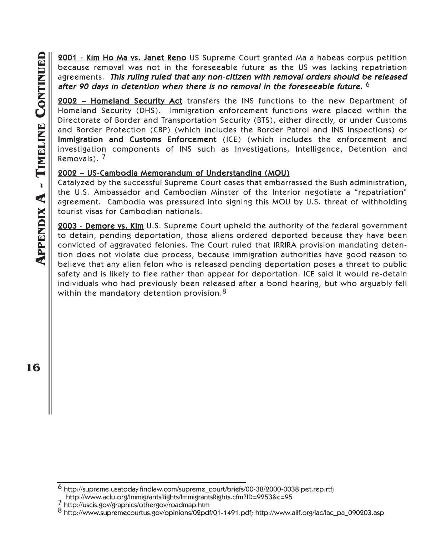2001 - Kim Ho Ma vs. Janet Reno US Supreme Court granted Ma a habeas corpus petition because removal was not in the foreseeable future as the US was lacking repatriation agreements. This ruling ruled that any non-citizen with removal orders should be released after 90 days in detention when there is no removal in the foreseeable future.  $^6$ 

2002 – Homeland Security Act transfers the INS functions to the new Department of Homeland Security (DHS). Immigration enforcement functions were placed within the Directorate of Border and Transportation Security (BTS), either directly, or under Customs and Border Protection (CBP) (which includes the Border Patrol and INS Inspections) or Immigration and Customs Enforcement (ICE) (which includes the enforcement and investigation components of INS such as Investigations, Intelligence, Detention and Removals). 7

### 2002 – US-Cambodia Memorandum of Understanding (MOU)

Catalyzed by the successful Supreme Court cases that embarrassed the Bush administration, the U.S. Ambassador and Cambodian Minster of the Interior negotiate a "repatriation" agreement. Cambodia was pressured into signing this MOU by U.S. threat of withholding tourist visas for Cambodian nationals.

2003 - Demore vs. Kim U.S. Supreme Court upheld the authority of the federal government to detain, pending deportation, those aliens ordered deported because they have been convicted of aggravated felonies. The Court ruled that IRRIRA provision mandating detention does not violate due process, because immigration authorities have good reason to believe that any alien felon who is released pending deportation poses a threat to public safety and is likely to flee rather than appear for deportation. ICE said it would re-detain individuals who had previously been released after a bond hearing, but who arguably fell within the mandatory detention provision.<sup>8</sup>

**16**

<sup>6</sup> http://supreme.usatoday.findlaw.com/supreme\_court/briefs/00-38/2000-0038.pet.rep.rtf;

http://www.aclu.org/ImmigrantsRights/ImmigrantsRights.cfm?ID=9253&c=95 7 http://uscis.gov/graphics/othergov/roadmap.htm 8 http://www.supremecourtus.gov/opinions/02pdf/01-1491.pdf; http://www.ailf.org/lac/lac\_pa\_090203.asp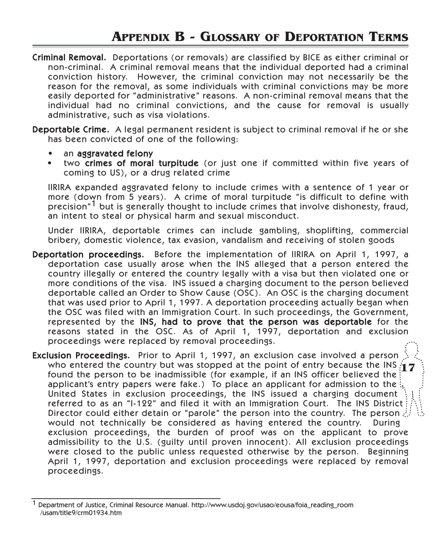### **APPENDIX B - GLOSSARY OF DEPORTATION TERMS**

Criminal Removal. Deportations (or removals) are classified by BICE as either criminal or non-criminal. A criminal removal means that the individual deported had a criminal conviction history. However, the criminal conviction may not necessarily be the reason for the removal, as some individuals with criminal convictions may be more easily deported for "administrative" reasons. A non-criminal removal means that the individual had no criminal convictions, and the cause for removal is usually administrative, such as visa violations.

Deportable Crime. A legal permanent resident is subject to criminal removal if he or she has been convicted of one of the following:

- an aggravated felony
- two crimes of moral turpitude (or just one if committed within five years of coming to US), or a drug related crime

IIRIRA expanded aggravated felony to include crimes with a sentence of 1 year or more (down from 5 years). A crime of moral turpitude "is difficult to define with precision<sup>"1</sup> but is generally thought to include crimes that involve dishonesty, fraud, an intent to steal or physical harm and sexual misconduct.

Under IIRIRA, deportable crimes can include gambling, shoplifting, commercial bribery, domestic violence, tax evasion, vandalism and receiving of stolen goods

Deportation proceedings. Before the implementation of IIRIRA on April 1, 1997, a deportation case usually arose when the INS alleged that a person entered the country illegally or entered the country legally with a visa but then violated one or more conditions of the visa. INS issued a charging document to the person believed deportable called an Order to Show Cause (OSC). An OSC is the charging document that was used prior to April 1, 1997. A deportation proceeding actually began when the OSC was filed with an Immigration Court. In such proceedings, the Government, represented by the INS, had to prove that the person was deportable for the reasons stated in the OSC. As of April 1, 1997, deportation and exclusion proceedings were replaced by removal proceedings.

Exclusion Proceedings. Prior to April 1, 1997, an exclusion case involved a person who entered the country but was stopped at the point of entry because the INS **17** found the person to be inadmissible (for example, if an INS officer believed the applicant's entry papers were fake.) To place an applicant for admission to the  $\frac{1}{2}$ . United States in exclusion proceedings, the INS issued a charging document referred to as an "I-122" and filed it with an Immigration Court. The INS District Director could either detain or "parole" the person into the country. The person  $\mathcal{G}$ would not technically be considered as having entered the country. During exclusion proceedings, the burden of proof was on the applicant to prove admissibility to the U.S. (guilty until proven innocent). All exclusion proceedings were closed to the public unless requested otherwise by the person. Beginning April 1, 1997, deportation and exclusion proceedings were replaced by removal proceedings.

<sup>1</sup> Department of Justice, Criminal Resource Manual. http://www.usdoj.gov/usao/eousa/foia\_reading\_room /usam/title9/crm01934.htm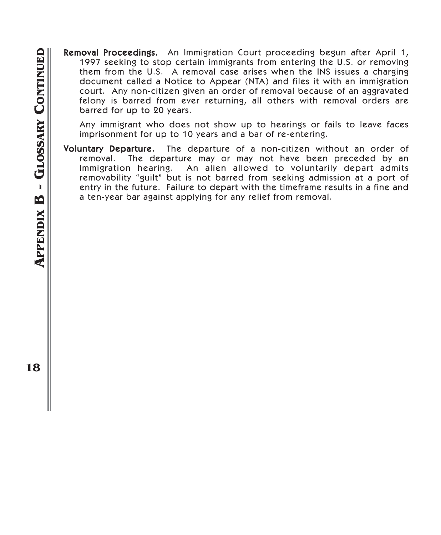Removal Proceedings. An Immigration Court proceeding begun after April 1, 1997 seeking to stop certain immigrants from entering the U.S. or removing them from the U.S. A removal case arises when the INS issues a charging document called a Notice to Appear (NTA) and files it with an immigration court. Any non-citizen given an order of removal because of an aggravated felony is barred from ever returning, all others with removal orders are barred for up to 20 years.

Any immigrant who does not show up to hearings or fails to leave faces imprisonment for up to 10 years and a bar of re-entering.

Voluntary Departure. The departure of a non-citizen without an order of removal. The departure may or may not have been preceded by an Immigration hearing. An alien allowed to voluntarily depart admits removability "guilt" but is not barred from seeking admission at a port of entry in the future. Failure to depart with the timeframe results in a fine and a ten-year bar against applying for any relief from removal.

**18**